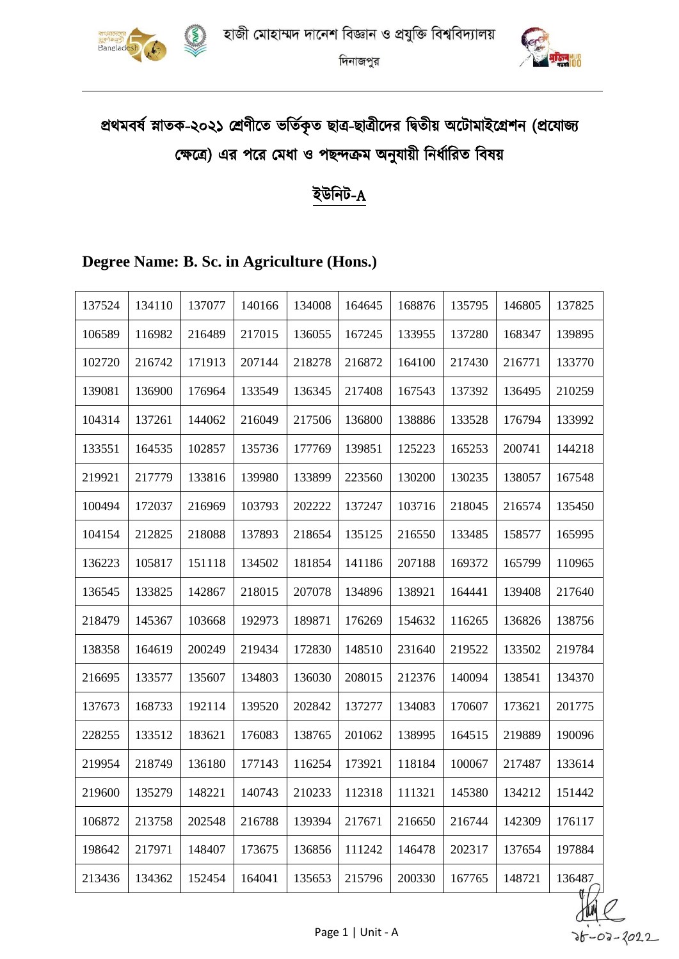



# প্রথমবর্ষ স্নাতক-২০২১ শ্রেণীতে ভর্তিকৃত ছাত্র-ছাত্রীদের দ্বিতীয় অটোমাইগ্রেশন (প্রযোজ্য ক্ষেত্রে) এর পরে মেধা ও পছন্দক্রম অনুযায়ী নির্ধারিত বিষয়

### ইউনিট-A

### **Degree Name: B. Sc. in Agriculture (Hons.)**

| 137524 | 134110 | 137077 | 140166 | 134008 | 164645 | 168876 | 135795 | 146805 | 137825 |
|--------|--------|--------|--------|--------|--------|--------|--------|--------|--------|
| 106589 | 116982 | 216489 | 217015 | 136055 | 167245 | 133955 | 137280 | 168347 | 139895 |
| 102720 | 216742 | 171913 | 207144 | 218278 | 216872 | 164100 | 217430 | 216771 | 133770 |
| 139081 | 136900 | 176964 | 133549 | 136345 | 217408 | 167543 | 137392 | 136495 | 210259 |
| 104314 | 137261 | 144062 | 216049 | 217506 | 136800 | 138886 | 133528 | 176794 | 133992 |
| 133551 | 164535 | 102857 | 135736 | 177769 | 139851 | 125223 | 165253 | 200741 | 144218 |
| 219921 | 217779 | 133816 | 139980 | 133899 | 223560 | 130200 | 130235 | 138057 | 167548 |
| 100494 | 172037 | 216969 | 103793 | 202222 | 137247 | 103716 | 218045 | 216574 | 135450 |
| 104154 | 212825 | 218088 | 137893 | 218654 | 135125 | 216550 | 133485 | 158577 | 165995 |
| 136223 | 105817 | 151118 | 134502 | 181854 | 141186 | 207188 | 169372 | 165799 | 110965 |
| 136545 | 133825 | 142867 | 218015 | 207078 | 134896 | 138921 | 164441 | 139408 | 217640 |
| 218479 | 145367 | 103668 | 192973 | 189871 | 176269 | 154632 | 116265 | 136826 | 138756 |
| 138358 | 164619 | 200249 | 219434 | 172830 | 148510 | 231640 | 219522 | 133502 | 219784 |
| 216695 | 133577 | 135607 | 134803 | 136030 | 208015 | 212376 | 140094 | 138541 | 134370 |
| 137673 | 168733 | 192114 | 139520 | 202842 | 137277 | 134083 | 170607 | 173621 | 201775 |
| 228255 | 133512 | 183621 | 176083 | 138765 | 201062 | 138995 | 164515 | 219889 | 190096 |
| 219954 | 218749 | 136180 | 177143 | 116254 | 173921 | 118184 | 100067 | 217487 | 133614 |
| 219600 | 135279 | 148221 | 140743 | 210233 | 112318 | 111321 | 145380 | 134212 | 151442 |
| 106872 | 213758 | 202548 | 216788 | 139394 | 217671 | 216650 | 216744 | 142309 | 176117 |
| 198642 | 217971 | 148407 | 173675 | 136856 | 111242 | 146478 | 202317 | 137654 | 197884 |
| 213436 | 134362 | 152454 | 164041 | 135653 | 215796 | 200330 | 167765 | 148721 | 136487 |

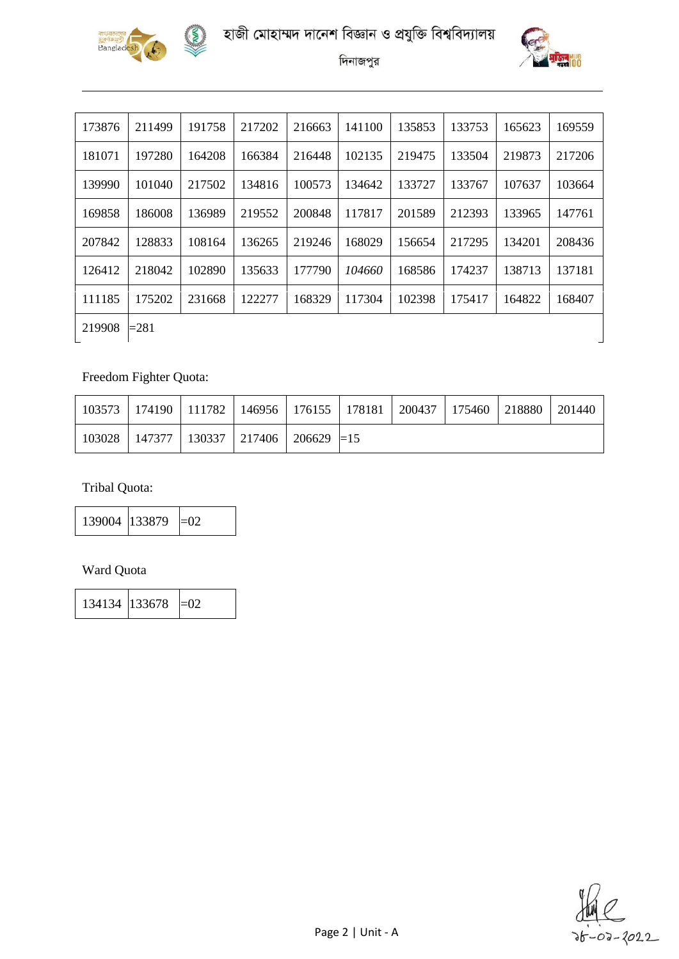





| 173876 | 211499  | 191758 | 217202 | 216663 | 141100 | 135853 | 133753 | 165623 | 169559 |
|--------|---------|--------|--------|--------|--------|--------|--------|--------|--------|
| 181071 | 197280  | 164208 | 166384 | 216448 | 102135 | 219475 | 133504 | 219873 | 217206 |
| 139990 | 101040  | 217502 | 134816 | 100573 | 134642 | 133727 | 133767 | 107637 | 103664 |
| 169858 | 186008  | 136989 | 219552 | 200848 | 117817 | 201589 | 212393 | 133965 | 147761 |
| 207842 | 128833  | 108164 | 136265 | 219246 | 168029 | 156654 | 217295 | 134201 | 208436 |
| 126412 | 218042  | 102890 | 135633 | 177790 | 104660 | 168586 | 174237 | 138713 | 137181 |
| 111185 | 175202  | 231668 | 122277 | 168329 | 117304 | 102398 | 175417 | 164822 | 168407 |
| 219908 | $= 281$ |        |        |        |        |        |        |        |        |

### Freedom Fighter Quota:

|        |                                                 |  | 103573   174190   111782   146956   176155   178181   200437   175460   218880 |  | 201440 |
|--------|-------------------------------------------------|--|--------------------------------------------------------------------------------|--|--------|
| 103028 | $147377$   130337   217406   206629 $\equiv$ 15 |  |                                                                                |  |        |

Tribal Quota:

139004  $|133879| = 02$ 

#### Ward Quota

134134  $|133678| = 02$ 

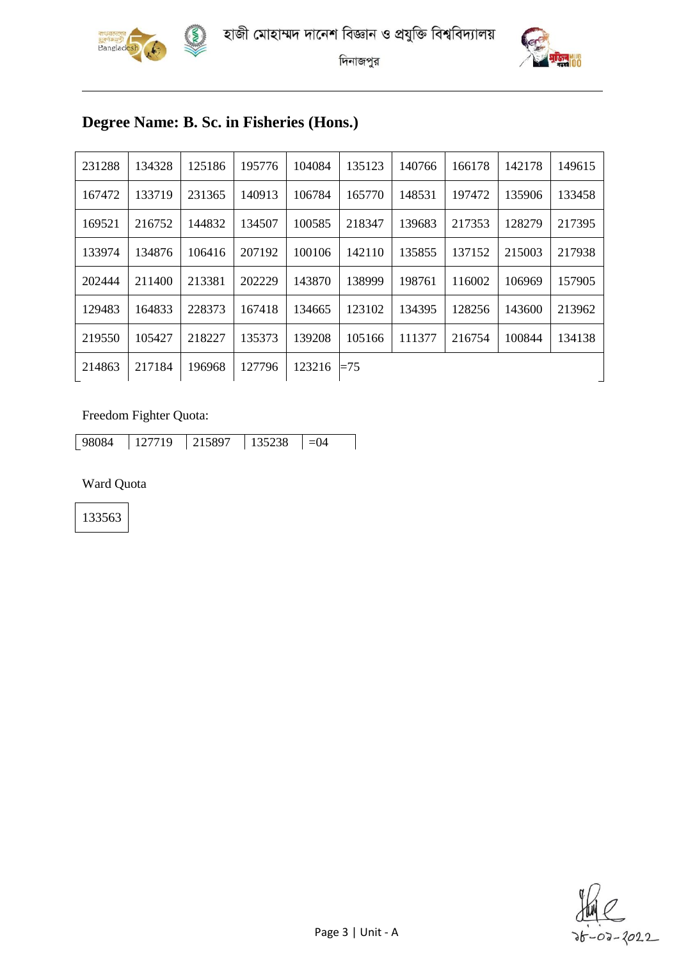





# **Degree Name: B. Sc. in Fisheries (Hons.)**

| 231288 | 134328 | 125186 | 195776 | 104084 | 135123 | 140766 | 166178 | 142178 | 149615 |
|--------|--------|--------|--------|--------|--------|--------|--------|--------|--------|
| 167472 | 133719 | 231365 | 140913 | 106784 | 165770 | 148531 | 197472 | 135906 | 133458 |
| 169521 | 216752 | 144832 | 134507 | 100585 | 218347 | 139683 | 217353 | 128279 | 217395 |
| 133974 | 134876 | 106416 | 207192 | 100106 | 142110 | 135855 | 137152 | 215003 | 217938 |
| 202444 | 211400 | 213381 | 202229 | 143870 | 138999 | 198761 | 116002 | 106969 | 157905 |
| 129483 | 164833 | 228373 | 167418 | 134665 | 123102 | 134395 | 128256 | 143600 | 213962 |
| 219550 | 105427 | 218227 | 135373 | 139208 | 105166 | 111377 | 216754 | 100844 | 134138 |
| 214863 | 217184 | 196968 | 127796 | 123216 | $=75$  |        |        |        |        |

#### Freedom Fighter Quota:

| ◡◡ | 98084 | Q | 897 | 238 |  |
|----|-------|---|-----|-----|--|

Ward Quota

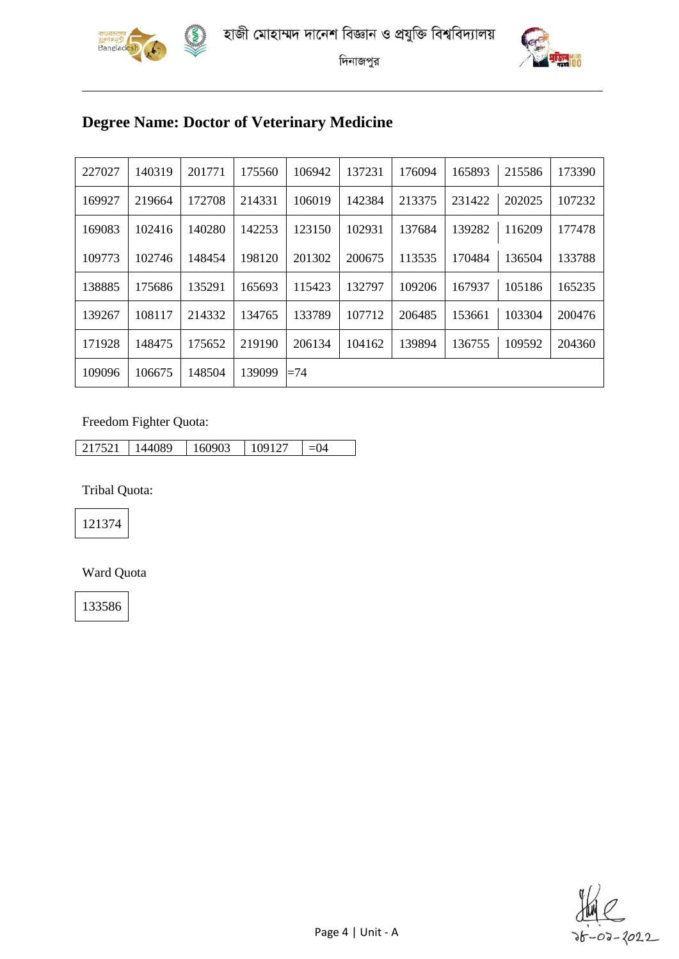



### **Degree Name: Doctor of Veterinary Medicine**

| 227027 | 140319 | 201771 | 175560 | 106942 | 137231 | 176094 | 165893 | 215586 | 173390 |
|--------|--------|--------|--------|--------|--------|--------|--------|--------|--------|
| 169927 | 219664 | 172708 | 214331 | 106019 | 142384 | 213375 | 231422 | 202025 | 107232 |
| 169083 | 102416 | 140280 | 142253 | 123150 | 102931 | 137684 | 139282 | 116209 | 177478 |
| 109773 | 102746 | 148454 | 198120 | 201302 | 200675 | 113535 | 170484 | 136504 | 133788 |
| 138885 | 175686 | 135291 | 165693 | 115423 | 132797 | 109206 | 167937 | 105186 | 165235 |
| 139267 | 108117 | 214332 | 134765 | 133789 | 107712 | 206485 | 153661 | 103304 | 200476 |
| 171928 | 148475 | 175652 | 219190 | 206134 | 104162 | 139894 | 136755 | 109592 | 204360 |
| 109096 | 106675 | 148504 | 139099 | $=74$  |        |        |        |        |        |

#### Freedom Fighter Quota:

| 7521 | 44089 | 60903 | 09127 |  |
|------|-------|-------|-------|--|

Tribal Quota:

Ward Quota

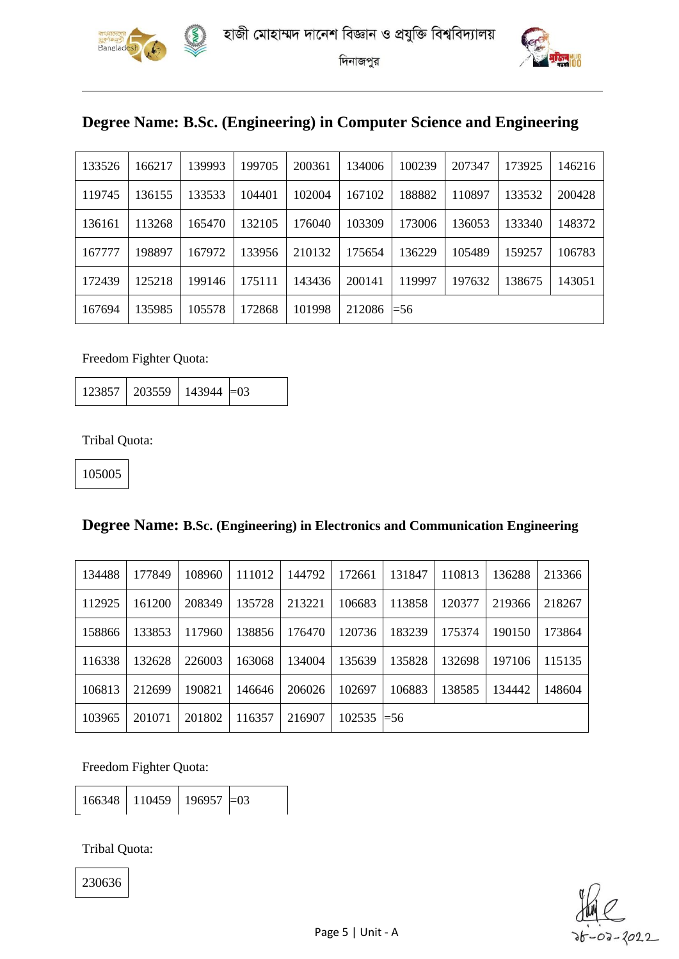



### **Degree Name: B.Sc. (Engineering) in Computer Science and Engineering**

| 133526 | 166217 | 139993 | 199705 | 200361 | 134006 | 100239      | 207347 | 173925 | 146216 |
|--------|--------|--------|--------|--------|--------|-------------|--------|--------|--------|
| 119745 | 136155 | 133533 | 104401 | 102004 | 167102 | 188882      | 110897 | 133532 | 200428 |
| 136161 | 113268 | 165470 | 132105 | 176040 | 103309 | 173006      | 136053 | 133340 | 148372 |
| 167777 | 198897 | 167972 | 133956 | 210132 | 175654 | 136229      | 105489 | 159257 | 106783 |
| 172439 | 125218 | 199146 | 175111 | 143436 | 200141 | 119997      | 197632 | 138675 | 143051 |
| 167694 | 135985 | 105578 | 172868 | 101998 | 212086 | $\equiv 56$ |        |        |        |

Freedom Fighter Quota:

123857 | 203559 | 143944  $=$ 03

Tribal Quota:

105005

#### **Degree Name: B.Sc. (Engineering) in Electronics and Communication Engineering**

| 134488 | 177849 | 108960 | 111012 | 144792 | 172661 | 131847      | 110813 | 136288 | 213366 |
|--------|--------|--------|--------|--------|--------|-------------|--------|--------|--------|
| 112925 | 161200 | 208349 | 135728 | 213221 | 106683 | 113858      | 120377 | 219366 | 218267 |
| 158866 | 133853 | 117960 | 138856 | 176470 | 120736 | 183239      | 175374 | 190150 | 173864 |
| 116338 | 132628 | 226003 | 163068 | 134004 | 135639 | 135828      | 132698 | 197106 | 115135 |
| 106813 | 212699 | 190821 | 146646 | 206026 | 102697 | 106883      | 138585 | 134442 | 148604 |
| 103965 | 201071 | 201802 | 116357 | 216907 | 102535 | $\equiv 56$ |        |        |        |

Freedom Fighter Quota:

|  | 166348   110459   196957   = 03 |  |  |
|--|---------------------------------|--|--|
|--|---------------------------------|--|--|

Tribal Quota:

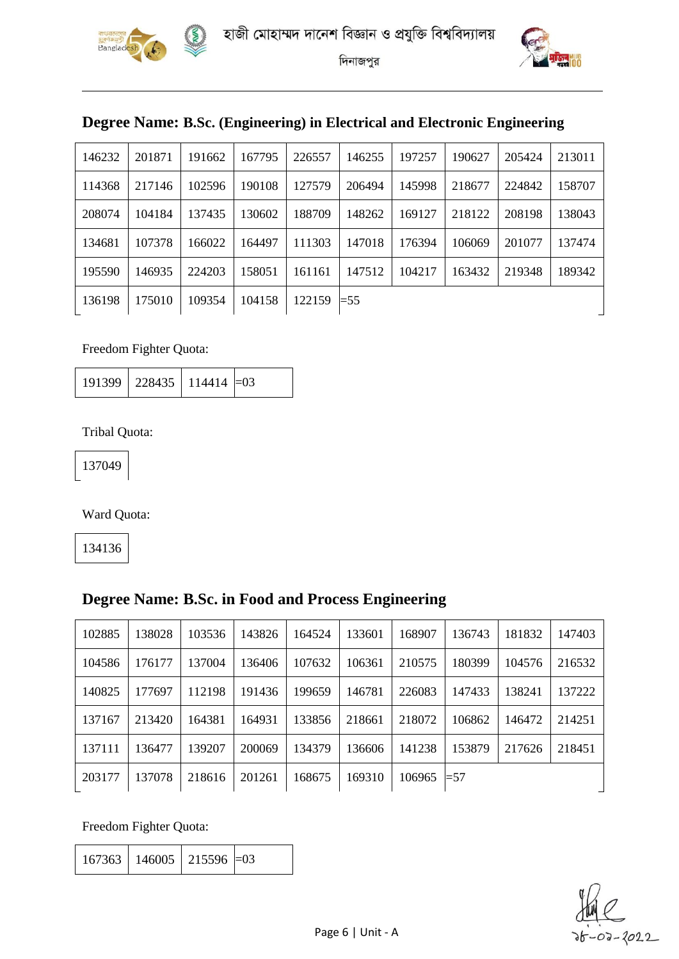





### **Degree Name: B.Sc. (Engineering) in Electrical and Electronic Engineering**

| 146232 | 201871 | 191662 | 167795 | 226557 | 146255  | 197257 | 190627 | 205424 | 213011 |
|--------|--------|--------|--------|--------|---------|--------|--------|--------|--------|
| 114368 | 217146 | 102596 | 190108 | 127579 | 206494  | 145998 | 218677 | 224842 | 158707 |
| 208074 | 104184 | 137435 | 130602 | 188709 | 148262  | 169127 | 218122 | 208198 | 138043 |
| 134681 | 107378 | 166022 | 164497 | 111303 | 147018  | 176394 | 106069 | 201077 | 137474 |
| 195590 | 146935 | 224203 | 158051 | 161161 | 147512  | 104217 | 163432 | 219348 | 189342 |
| 136198 | 175010 | 109354 | 104158 | 122159 | $=$ 5.5 |        |        |        |        |

Freedom Fighter Quota:

191399 228435 114414 = 03

Tribal Quota:

Ward Quota:

### **Degree Name: B.Sc. in Food and Process Engineering**

| 102885 | 138028 | 103536 | 143826 | 164524 | 133601 | 168907 | 136743 | 181832 | 147403 |
|--------|--------|--------|--------|--------|--------|--------|--------|--------|--------|
| 104586 | 176177 | 137004 | 136406 | 107632 | 106361 | 210575 | 180399 | 104576 | 216532 |
| 140825 | 177697 | 112198 | 191436 | 199659 | 146781 | 226083 | 147433 | 138241 | 137222 |
| 137167 | 213420 | 164381 | 164931 | 133856 | 218661 | 218072 | 106862 | 146472 | 214251 |
| 137111 | 136477 | 139207 | 200069 | 134379 | 136606 | 141238 | 153879 | 217626 | 218451 |
| 203177 | 137078 | 218616 | 201261 | 168675 | 169310 | 106965 | $=57$  |        |        |

Freedom Fighter Quota:

| $167363$   146005   215596 $=$ 03 |  |  |
|-----------------------------------|--|--|
|-----------------------------------|--|--|

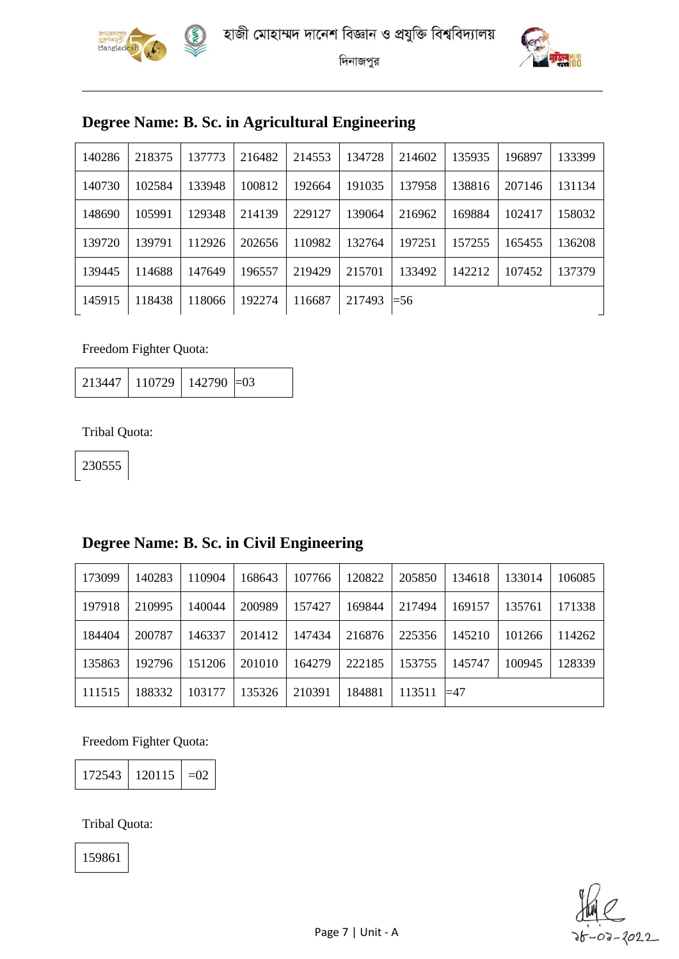





### **Degree Name: B. Sc. in Agricultural Engineering**

| 140286 | 218375 | 137773 | 216482 | 214553 | 134728 | 214602 | 135935 | 196897 | 133399 |
|--------|--------|--------|--------|--------|--------|--------|--------|--------|--------|
| 140730 | 102584 | 133948 | 100812 | 192664 | 191035 | 137958 | 138816 | 207146 | 131134 |
| 148690 | 105991 | 129348 | 214139 | 229127 | 139064 | 216962 | 169884 | 102417 | 158032 |
| 139720 | 139791 | 112926 | 202656 | 110982 | 132764 | 197251 | 157255 | 165455 | 136208 |
| 139445 | 114688 | 147649 | 196557 | 219429 | 215701 | 133492 | 142212 | 107452 | 137379 |
| 145915 | 118438 | 118066 | 192274 | 116687 | 217493 | $=$ 56 |        |        |        |

Freedom Fighter Quota:

110729 142790 =03

Tribal Quota:

### **Degree Name: B. Sc. in Civil Engineering**

| 173099 | 140283 | 110904 | 168643 | 107766 | 120822 | 205850 | 134618      | 133014 | 106085 |
|--------|--------|--------|--------|--------|--------|--------|-------------|--------|--------|
| 197918 | 210995 | 140044 | 200989 | 157427 | 169844 | 217494 | 169157      | 135761 | 171338 |
| 184404 | 200787 | 146337 | 201412 | 147434 | 216876 | 225356 | 145210      | 101266 | 114262 |
| 135863 | 192796 | 151206 | 201010 | 164279 | 222185 | 153755 | 145747      | 100945 | 128339 |
| 111515 | 188332 | 103177 | 135326 | 210391 | 184881 | 113511 | $\equiv$ 47 |        |        |

Freedom Fighter Quota:

120115 =02

Tribal Quota:

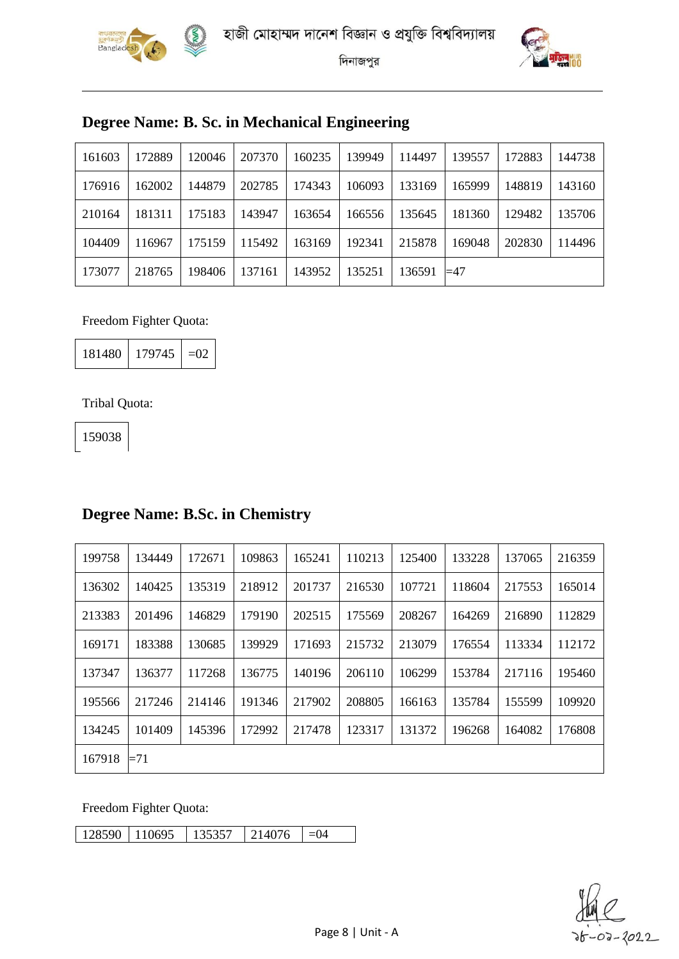





### **Degree Name: B. Sc. in Mechanical Engineering**

| 161603 | 172889 | 120046 | 207370 | 160235 | 139949 | 114497 | 139557      | 172883 | 44738  |
|--------|--------|--------|--------|--------|--------|--------|-------------|--------|--------|
| 176916 | 162002 | 144879 | 202785 | 174343 | 106093 | 133169 | 165999      | 148819 | 143160 |
| 210164 | 181311 | 175183 | 143947 | 163654 | 166556 | 135645 | 181360      | 129482 | 135706 |
| 104409 | 116967 | 175159 | 115492 | 163169 | 192341 | 215878 | 169048      | 202830 | 114496 |
| 173077 | 218765 | 198406 | 137161 | 143952 | 135251 | 136591 | $\equiv$ 47 |        |        |

#### Freedom Fighter Quota:

| 181480 | 179745 | $-\Omega$ |
|--------|--------|-----------|
|--------|--------|-----------|

#### Tribal Quota:

### **Degree Name: B.Sc. in Chemistry**

| 199758 | 134449 | 172671 | 109863 | 165241 | 110213 | 125400 | 133228 | 137065 | 216359 |
|--------|--------|--------|--------|--------|--------|--------|--------|--------|--------|
| 136302 | 140425 | 135319 | 218912 | 201737 | 216530 | 107721 | 118604 | 217553 | 165014 |
| 213383 | 201496 | 146829 | 179190 | 202515 | 175569 | 208267 | 164269 | 216890 | 112829 |
| 169171 | 183388 | 130685 | 139929 | 171693 | 215732 | 213079 | 176554 | 113334 | 112172 |
| 137347 | 136377 | 117268 | 136775 | 140196 | 206110 | 106299 | 153784 | 217116 | 195460 |
| 195566 | 217246 | 214146 | 191346 | 217902 | 208805 | 166163 | 135784 | 155599 | 109920 |
| 134245 | 101409 | 145396 | 172992 | 217478 | 123317 | 131372 | 196268 | 164082 | 176808 |
| 167918 | $=71$  |        |        |        |        |        |        |        |        |

Freedom Fighter Quota:

 $\begin{array}{|c|c|c|c|c|c|c|c|}\n\hline 128590 & 110695 & 135357 & 214076 & =04 \\\hline \end{array}$ 

02-2022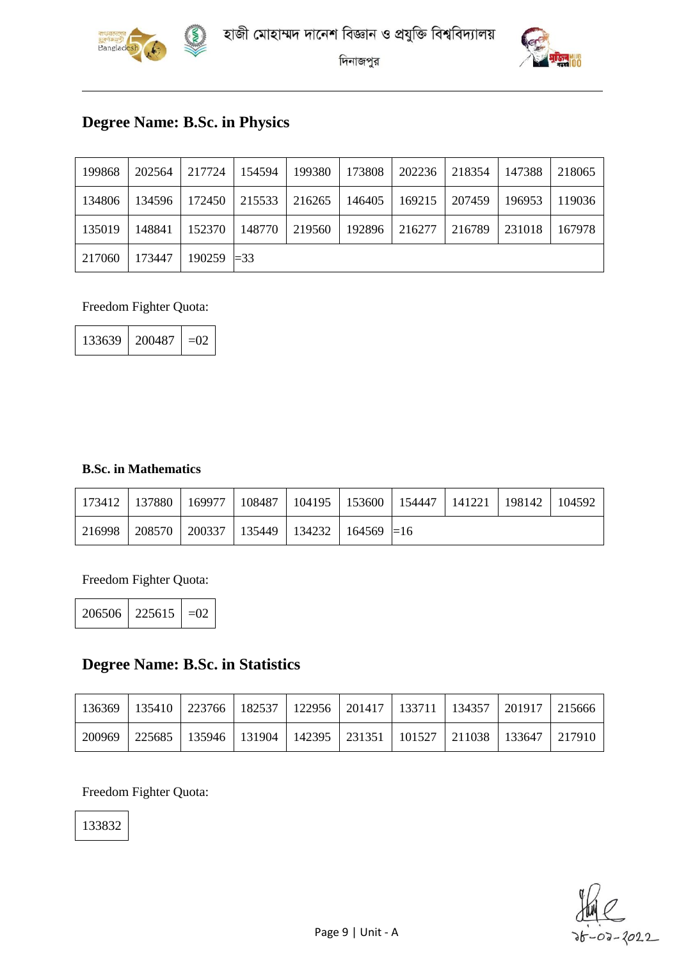



### **Degree Name: B.Sc. in Physics**

| 199868 | 202564 | 217724        | $\mid$ 154594 | 199380 | 173808 | 202236 | 218354 | 147388 | 218065 |
|--------|--------|---------------|---------------|--------|--------|--------|--------|--------|--------|
| 134806 | 134596 | 172450        | 215533        | 216265 | 146405 | 169215 | 207459 | 196953 | 119036 |
| 135019 | 148841 | 152370        | 148770        | 219560 | 192896 | 216277 | 216789 | 231018 | 167978 |
| 217060 | 173447 | $190259$ = 33 |               |        |        |        |        |        |        |

Freedom Fighter Quota:

| 133639 | 200487 | –02 |
|--------|--------|-----|
|--------|--------|-----|

#### **B.Sc. in Mathematics**

|        | 173412   137880   169977 | 108487   104195   153600   154447   141221   198142   104592 |  |  |  |
|--------|--------------------------|--------------------------------------------------------------|--|--|--|
| 216998 |                          | 208570   200337   135449   134232   164569 $\equiv$ 16       |  |  |  |

Freedom Fighter Quota:

| $206506$   225615   $=02$ |  |  |
|---------------------------|--|--|
|---------------------------|--|--|

### **Degree Name: B.Sc. in Statistics**

|  | 136369   135410   223766   182537   122956   201417   133711   134357   201917   215666 |  |  |  |  |
|--|-----------------------------------------------------------------------------------------|--|--|--|--|
|  | 200969   225685   135946   131904   142395   231351   101527   211038   133647   217910 |  |  |  |  |

Freedom Fighter Quota:

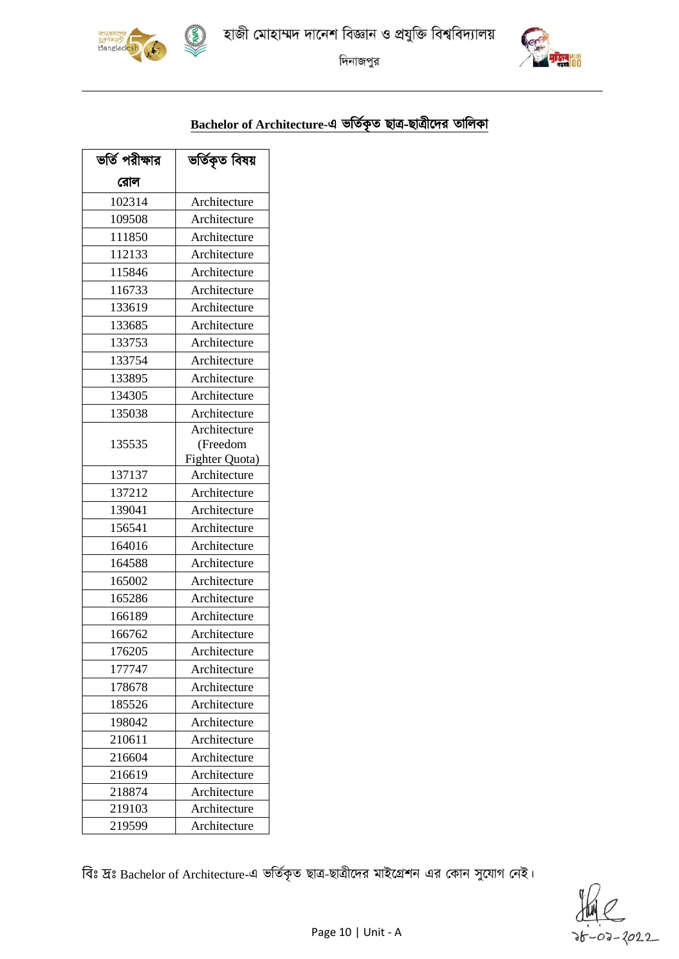হাজী মোহাম্মদ দানেশ বিজ্ঞান ও প্রযুক্তি বিশ্ববিদ্যালয়



দিনাজপুর



# Bachelor of Architecture-এ ভর্তিকৃত ছাত্র-ছাত্রীদের তালিকা

| ভর্তি পরীক্ষার | ভৰ্তিকৃত বিষয় |  |  |  |  |
|----------------|----------------|--|--|--|--|
| রোল            |                |  |  |  |  |
| 102314         | Architecture   |  |  |  |  |
| 109508         | Architecture   |  |  |  |  |
| 111850         | Architecture   |  |  |  |  |
| 112133         | Architecture   |  |  |  |  |
| 115846         | Architecture   |  |  |  |  |
| 116733         | Architecture   |  |  |  |  |
| 133619         | Architecture   |  |  |  |  |
| 133685         | Architecture   |  |  |  |  |
| 133753         | Architecture   |  |  |  |  |
| 133754         | Architecture   |  |  |  |  |
| 133895         | Architecture   |  |  |  |  |
| 134305         | Architecture   |  |  |  |  |
| 135038         | Architecture   |  |  |  |  |
|                | Architecture   |  |  |  |  |
| 135535         | (Freedom       |  |  |  |  |
|                | Fighter Quota) |  |  |  |  |
| 137137         | Architecture   |  |  |  |  |
| 137212         | Architecture   |  |  |  |  |
| 139041         | Architecture   |  |  |  |  |
| 156541         | Architecture   |  |  |  |  |
| 164016         | Architecture   |  |  |  |  |
| 164588         | Architecture   |  |  |  |  |
| 165002         | Architecture   |  |  |  |  |
| 165286         | Architecture   |  |  |  |  |
| 166189         | Architecture   |  |  |  |  |
| 166762         | Architecture   |  |  |  |  |
| 176205         | Architecture   |  |  |  |  |
| 177747         | Architecture   |  |  |  |  |
| 178678         | Architecture   |  |  |  |  |
| 185526         | Architecture   |  |  |  |  |
| 198042         | Architecture   |  |  |  |  |
| 210611         | Architecture   |  |  |  |  |
| 216604         | Architecture   |  |  |  |  |
| 216619         | Architecture   |  |  |  |  |
| 218874         | Architecture   |  |  |  |  |
| 219103         | Architecture   |  |  |  |  |
| 219599         | Architecture   |  |  |  |  |

বিঃ দ্রঃ Bachelor of Architecture-এ ভর্তিকৃত ছাত্র-ছাত্রীদের মাইগ্রেশন এর কোন সুযোগ নেই।